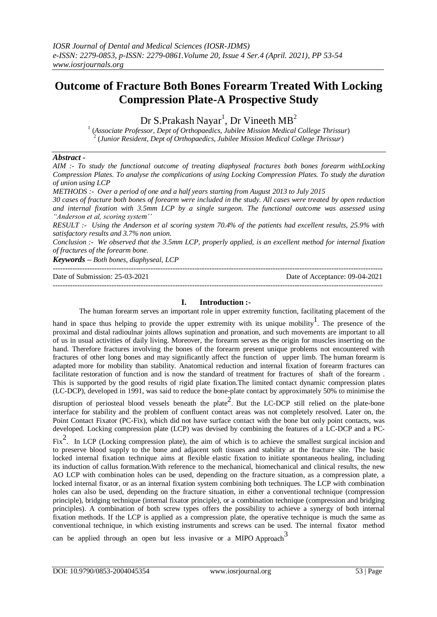# **Outcome of Fracture Both Bones Forearm Treated With Locking Compression Plate-A Prospective Study**

Dr S.Prakash Nayar<sup>1</sup>, Dr Vineeth MB<sup>2</sup>

1 (*Associate Professor, Dept of Orthopaedics, Jubilee Mission Medical College Thrissur*) 2 (*Junior Resident, Dept of Orthopaedics, Jubilee Mission Medical College Thrissur*)

## *Abstract -*

*AIM :- To study the functional outcome of treating diaphyseal fractures both bones forearm withLocking Compression Plates. To analyse the complications of using Locking Compression Plates. To study the duration of union using LCP METHODS :- Over a period of one and a half years starting from August 2013 to July 2015 30 cases of fracture both bones of forearm were included in the study. All cases were treated by open reduction and internal fixation with 3.5mm LCP by a single surgeon. The functional outcome was assessed using "Anderson et al, scoring system'' RESULT :- Using the Anderson et al scoring system 70.4% of the patients had excellent results, 25.9% with satisfactory results and 3.7% non union. Conclusion :- We observed that the 3.5mm LCP, properly applied, is an excellent method for internal fixation of fractures of the forearm bone.*

*Keywords – Both bones, diaphyseal, LCP* ---------------------------------------------------------------------------------------------------------------------------------------

Date of Submission: 25-03-2021 Date of Acceptance: 09-04-2021 ---------------------------------------------------------------------------------------------------------------------------------------

## **I. Introduction :-**

The human forearm serves an important role in upper extremity function, facilitating placement of the

hand in space thus helping to provide the upper extremity with its unique mobility. The presence of the proximal and distal radioulnar joints allows supination and pronation, and such movements are important to all of us in usual activities of daily living. Moreover, the forearm serves as the origin for muscles inserting on the hand. Therefore fractures involving the bones of the forearm present unique problems not encountered with fractures of other long bones and may significantly affect the function of upper limb. The human forearm is adapted more for mobility than stability. Anatomical reduction and internal fixation of forearm fractures can facilitate restoration of function and is now the standard of treatment for fractures of shaft of the forearm . This is supported by the good results of rigid plate fixation.The limited contact dynamic compression plates (LC-DCP), developed in 1991, was said to reduce the bone-plate contact by approximately 50% to minimise the

disruption of periosteal blood vessels beneath the plate<sup>2</sup>. But the LC-DCP still relied on the plate-bone interface for stability and the problem of confluent contact areas was not completely resolved. Later on, the Point Contact Fixator (PC-Fix), which did not have surface contact with the bone but only point contacts, was developed. Locking compression plate (LCP) was devised by combining the features of a LC-DCP and a PC-

Fix<sup>2</sup>. In LCP (Locking compression plate), the aim of which is to achieve the smallest surgical incision and to preserve blood supply to the bone and adjacent soft tissues and stability at the fracture site. The basic locked internal fixation technique aims at flexible elastic fixation to initiate spontaneous healing, including its induction of callus formation.With reference to the mechanical, biomechanical and clinical results, the new AO LCP with combination holes can be used, depending on the fracture situation, as a compression plate, a locked internal fixator, or as an internal fixation system combining both techniques. The LCP with combination holes can also be used, depending on the fracture situation, in either a conventional technique (compression principle), bridging technique (internal fixator principle), or a combination technique (compression and bridging principles). A combination of both screw types offers the possibility to achieve a synergy of both internal fixation methods. If the LCP is applied as a compression plate, the operative technique is much the same as conventional technique, in which existing instruments and screws can be used. The internal fixator method

can be applied through an open but less invasive or a MIPO Approach<sup>3</sup>